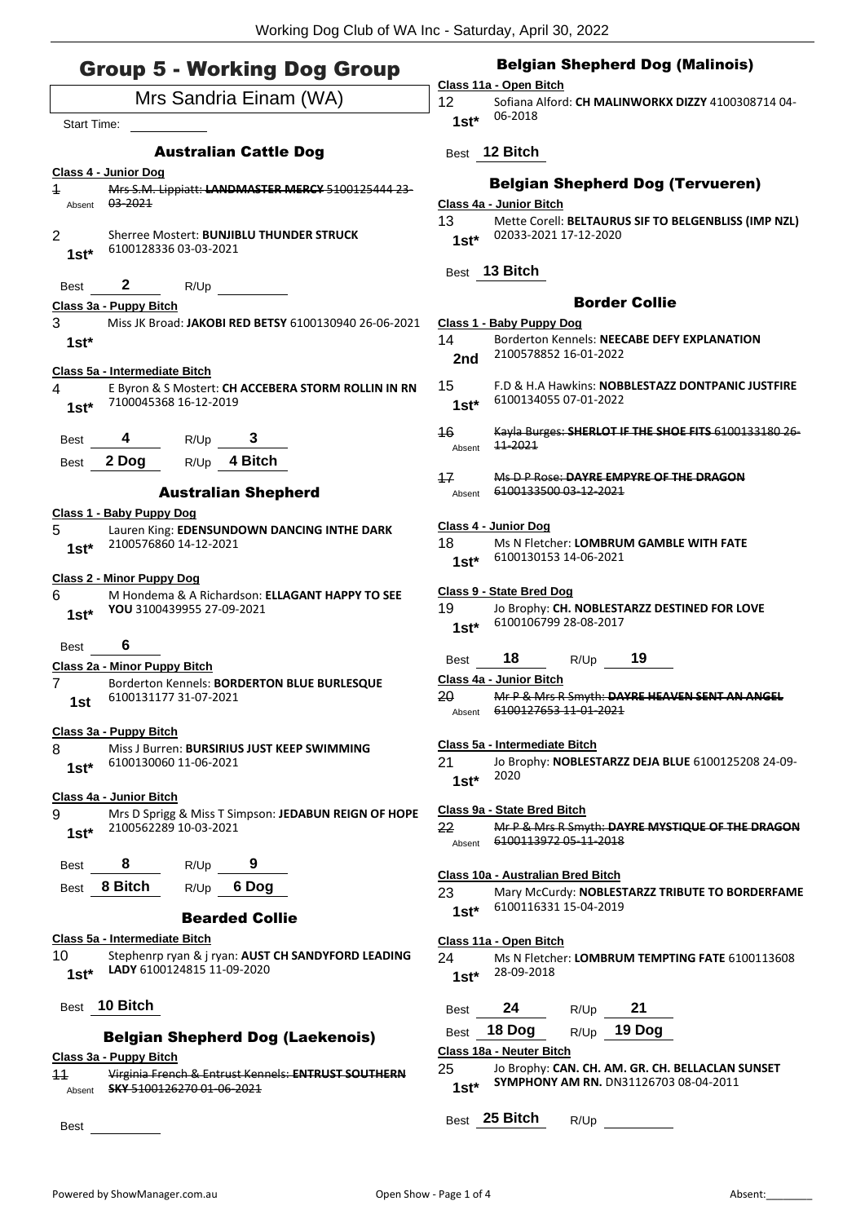## Group 5 - Working Dog Group

# Mrs Sandria Einam (WA) Start Time: Australian Cattle Dog **Class 4 - Junior Dog** 1 Mrs S.M. Lippiatt: **LANDMASTER MERCY** 5100125444 23- Absent 03-2021 2 Sherree Mostert: **BUNJIBLU THUNDER STRUCK** 6100128336 03-03-2021 **1st\*** Best **2** R/Up **Class 3a - Puppy Bitch** 3 Miss JK Broad: **JAKOBI RED BETSY** 6100130940 26-06-2021 **1st\* Class 5a - Intermediate Bitch** 4 E Byron & S Mostert: **CH ACCEBERA STORM ROLLIN IN RN** 7100045368 16-12-2019 **1st\*** Best **4** R/Up **3** Best **2 Dog** R/Up **4 Bitch** Australian Shepherd **Class 1 - Baby Puppy Dog** 5 Lauren King: **EDENSUNDOWN DANCING INTHE DARK** 2100576860 14-12-2021 **1st\* Class 2 - Minor Puppy Dog** 6 M Hondema & A Richardson: **ELLAGANT HAPPY TO SEE YOU** 3100439955 27-09-2021 **1st\*** Best **6 Class 2a - Minor Puppy Bitch** 7 Borderton Kennels: **BORDERTON BLUE BURLESQUE** 6100131177 31-07-2021 **1st Class 3a - Puppy Bitch** 8 Miss J Burren: **BURSIRIUS JUST KEEP SWIMMING** 6100130060 11-06-2021 **1st\* Class 4a - Junior Bitch** 9 Mrs D Sprigg & Miss T Simpson: **JEDABUN REIGN OF HOPE** 2100562289 10-03-2021 **1st\*** Best **8** R/Up **9** Best **8 Bitch** R/Up **6 Dog** Bearded Collie **Class 5a - Intermediate Bitch** 10 Stephenrp ryan & j ryan: **AUST CH SANDYFORD LEADING LADY** 6100124815 11-09-2020 **1st\*** Best **10 Bitch** Belgian Shepherd Dog (Laekenois) **Class 3a - Puppy Bitch** 11 Virginia French & Entrust Kennels: **ENTRUST SOUTHERN**  Absent **SKY** 5100126270 01-06-2021

Best

## Belgian Shepherd Dog (Malinois)

#### **Class 11a - Open Bitch**

12 Sofiana Alford: **CH MALINWORKX DIZZY** 4100308714 04- 06-2018 **1st\***

## Best **12 Bitch**

## Belgian Shepherd Dog (Tervueren)

#### **Class 4a - Junior Bitch**

| 13     | Mette Corell: BELTAURUS SIF TO BELGENBLISS (IMP NZL) |
|--------|------------------------------------------------------|
| $1st*$ | 02033-2021 17-12-2020                                |

## Best **13 Bitch**

#### Border Collie

- **Class 1 - Baby Puppy Dog**
- 14 Borderton Kennels: **NEECABE DEFY EXPLANATION** 2100578852 16-01-2022 **2nd**
- 15 F.D & H.A Hawkins: **NOBBLESTAZZ DONTPANIC JUSTFIRE** 6100134055 07-01-2022 **1st\***
- 16 Kayla Burges: **SHERLOT IF THE SHOE FITS** 6100133180 26- Absent  $11-2021$

#### 17 Ms D P Rose: **DAYRE EMPYRE OF THE DRAGON** Absent 6100133500 03-12-2021

#### **Class 4 - Junior Dog**

18 Ms N Fletcher: **LOMBRUM GAMBLE WITH FATE** 6100130153 14-06-2021 **1st\***

#### **Class 9 - State Bred Dog**

19 Jo Brophy: **CH. NOBLESTARZZ DESTINED FOR LOVE** 6100106799 28-08-2017 **1st\***

## Best **18** R/Up **19**

- **Class 4a - Junior Bitch**
- 20 Mr P & Mrs R Smyth: **DAYRE HEAVEN SENT AN ANGEL** Absent 6100127653 11-01-2021

#### **Class 5a - Intermediate Bitch**

21 Jo Brophy: **NOBLESTARZZ DEJA BLUE** 6100125208 24-09- <sup>2020</sup> **1st\***

#### **Class 9a - State Bred Bitch**

22 Mr P & Mrs R Smyth: **DAYRE MYSTIQUE OF THE DRAGON** Absent 6100113972 05-11-2018

#### **Class 10a - Australian Bred Bitch**

23 Mary McCurdy: **NOBLESTARZZ TRIBUTE TO BORDERFAME** 6100116331 15-04-2019 **1st\***

#### **Class 11a - Open Bitch**

24 Ms N Fletcher: **LOMBRUM TEMPTING FATE** 6100113608 28-09-2018 **1st\***

| <b>Best</b> | 24 | R/Up | 21 |
|-------------|----|------|----|
|-------------|----|------|----|

Best **18 Dog** R/Up **19 Dog**

#### **Class 18a - Neuter Bitch**

- 25 Jo Brophy: **CAN. CH. AM. GR. CH. BELLACLAN SUNSET SYMPHONY AM RN.** DN31126703 08-04-2011 **1st\***
- Best **25 Bitch** R/Up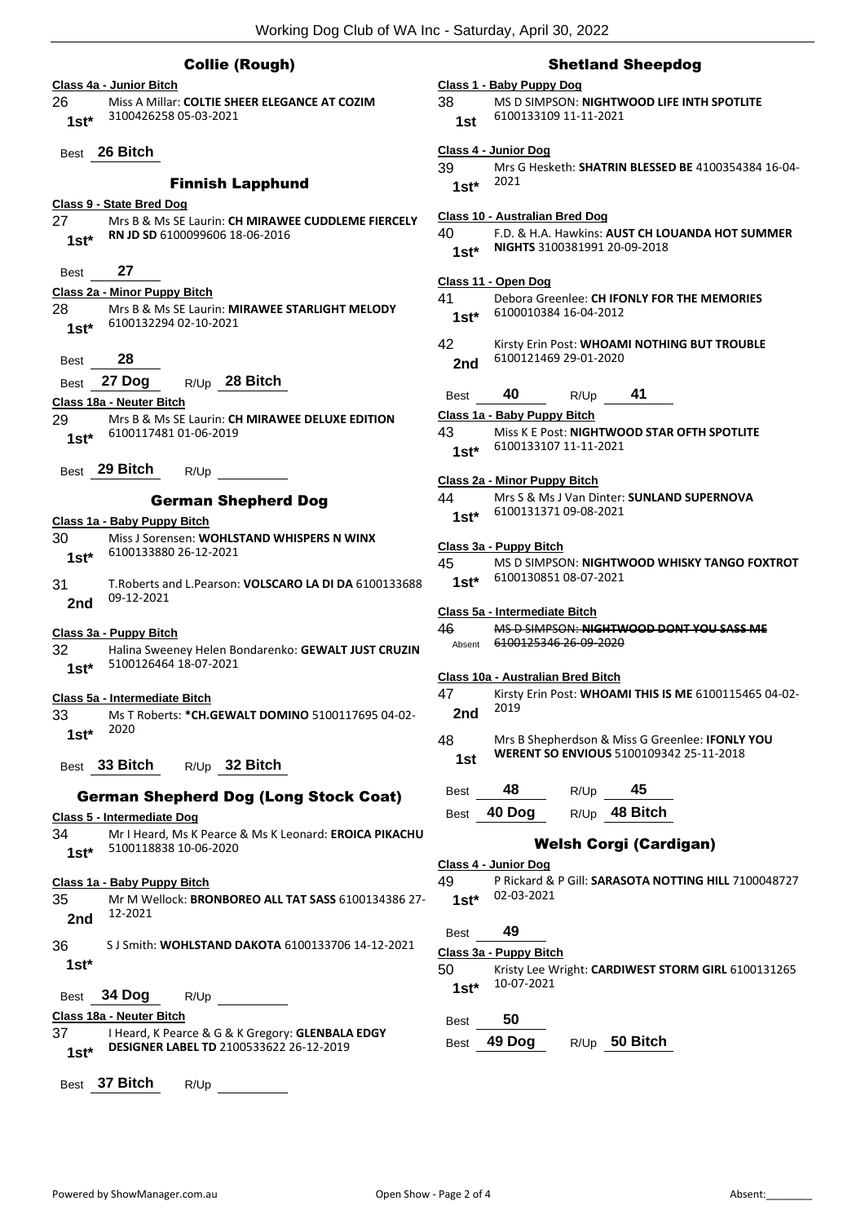## Collie (Rough)

| Class 4a - Junior Bitch                                                                   |
|-------------------------------------------------------------------------------------------|
| Miss A Millar: COLTIE SHEER ELEGANCE AT COZIM<br>26                                       |
| 3100426258 05-03-2021<br>$1st^*$                                                          |
|                                                                                           |
| Best 26 Bitch                                                                             |
|                                                                                           |
| <b>Finnish Lapphund</b>                                                                   |
| Class 9 - State Bred Dog                                                                  |
| 27 —<br>Mrs B & Ms SE Laurin: CH MIRAWEE CUDDLEME FIERCELY                                |
| RN JD SD 6100099606 18-06-2016<br>$1st^*$                                                 |
|                                                                                           |
| 27<br>Best                                                                                |
|                                                                                           |
| Class 2a - Minor Puppy Bitch                                                              |
| Mrs B & Ms SE Laurin: MIRAWEE STARLIGHT MELODY<br>28 —<br>6100132294 02-10-2021           |
| $1st^*$                                                                                   |
|                                                                                           |
| 28<br><b>Best</b>                                                                         |
| Best 27 Dog<br>R/Up 28 Bitch                                                              |
| Class 18a - Neuter Bitch                                                                  |
| Mrs B & Ms SE Laurin: CH MIRAWEE DELUXE EDITION<br>29 -                                   |
| 6100117481 01-06-2019                                                                     |
| 1st*                                                                                      |
| Best 29 Bitch                                                                             |
| R/Up                                                                                      |
| <b>German Shepherd Dog</b>                                                                |
|                                                                                           |
| Class 1a - Baby Puppy Bitch                                                               |
| Miss J Sorensen: WOHLSTAND WHISPERS N WINX<br>30 —                                        |
| 6100133880 26-12-2021<br>$1st^*$                                                          |
|                                                                                           |
| 31 -<br>T. Roberts and L. Pearson: VOLSCARO LA DI DA 6100133688<br>09-12-2021             |
| 2nd                                                                                       |
|                                                                                           |
| Class 3a - Puppy Bitch                                                                    |
| 32<br>Halina Sweeney Helen Bondarenko: <b>GEWALT JUST CRUZIN</b><br>5100126464 18-07-2021 |
| 1st*                                                                                      |
|                                                                                           |
| Class 5a - Intermediate Bitch                                                             |
| Ms T Roberts: *CH.GEWALT DOMINO 5100117695 04-02-<br>33                                   |
| 1st* $2020$                                                                               |
|                                                                                           |
| Best 33 Bitch $R/Up$ 32 Bitch                                                             |
|                                                                                           |
| <b>German Shepherd Dog (Long Stock Coat)</b>                                              |
| Class 5 - Intermediate Dog                                                                |
| Mr I Heard, Ms K Pearce & Ms K Leonard: EROICA PIKACHU<br>34                              |
| 5100118838 10-06-2020<br>1st*                                                             |
|                                                                                           |
| Class 1a - Baby Puppy Bitch                                                               |
| Mr M Wellock: BRONBOREO ALL TAT SASS 6100134386 27-<br>35 -                               |
| 12-2021<br>2nd                                                                            |
|                                                                                           |
| 36<br>S J Smith: WOHLSTAND DAKOTA 6100133706 14-12-2021                                   |
| $1st^*$                                                                                   |
|                                                                                           |
| Best                                                                                      |
| Class 18a - Neuter Bitch                                                                  |
| 37 -<br>I Heard, K Pearce & G & K Gregory: GLENBALA EDGY                                  |
| DESIGNER LABEL TD 2100533622 26-12-2019<br>$1st^*$                                        |
|                                                                                           |
| Best 37 Bitch<br>R/Up                                                                     |
|                                                                                           |

#### Shetland Sheepdog

#### **Class 1 - Baby Puppy Dog**

38 MS D SIMPSON: **NIGHTWOOD LIFE INTH SPOTLITE** 6100133109 11-11-2021 **1st**

#### **Class 4 - Junior Dog**

39 Mrs G Hesketh: **SHATRIN BLESSED BE** 4100354384 16-04- 2021 **1st\***

- **Class 10 - Australian Bred Dog** 40 F.D. & H.A. Hawkins: **AUST CH LOUANDA HOT SUMMER NIGHTS** 3100381991 20-09-2018 **1st\* Class 11 - Open Dog** 41 Debora Greenlee: **CH IFONLY FOR THE MEMORIES** 6100010384 16-04-2012 **1st\***
- 42 Kirsty Erin Post: **WHOAMI NOTHING BUT TROUBLE** 6100121469 29-01-2020 **2nd**

| <b>Best</b> | 40 | R/Up | 41 |  |
|-------------|----|------|----|--|
|             |    |      |    |  |

**Class 1a - Baby Puppy Bitch**

43 Miss K E Post: **NIGHTWOOD STAR OFTH SPOTLITE** 6100133107 11-11-2021 **1st\***

#### **Class 2a - Minor Puppy Bitch**

```
44 Mrs S & Ms J Van Dinter: SUNLAND SUPERNOVA
 6100131371 09-08-2021 1st*
```
#### **Class 3a - Puppy Bitch**

| 45     | MS D SIMPSON: NIGHTWOOD WHISKY TANGO FOXTROT |
|--------|----------------------------------------------|
| $1st*$ | 6100130851 08-07-2021                        |

#### **Class 5a - Intermediate Bitch**

```
46 MS D SIMPSON: NIGHTWOOD DONT YOU SASS ME
Absent 6100125346 26-09-2020
```
#### **Class 10a - Australian Bred Bitch**

- 47 Kirsty Erin Post: **WHOAMI THIS IS ME** 6100115465 04-02- <sup>2019</sup> **2nd**
- 48 Mrs B Shepherdson & Miss G Greenlee: **IFONLY YOU WERENT SO ENVIOUS** 5100109342 25-11-2018 **1st**

| <b>Best</b> | 48 | R/Up | 45 |
|-------------|----|------|----|
|             |    |      |    |

Best **40 Dog** R/Up **48 Bitch**

## Welsh Corgi (Cardigan)

## **Class 4 - Junior Dog**

49 P Rickard & P Gill: **SARASOTA NOTTING HILL** 7100048727 02-03-2021 **1st\***

| <b>Best</b> | 49                     |                  |                                                    |
|-------------|------------------------|------------------|----------------------------------------------------|
|             | Class 3a - Puppy Bitch |                  |                                                    |
| 50          |                        |                  | Kristy Lee Wright: CARDIWEST STORM GIRL 6100131265 |
| $1st*$      | 10-07-2021             |                  |                                                    |
| Best        | 50                     |                  |                                                    |
| <b>Best</b> | 49 Dog                 | R/U <sub>p</sub> | 50 Bitch                                           |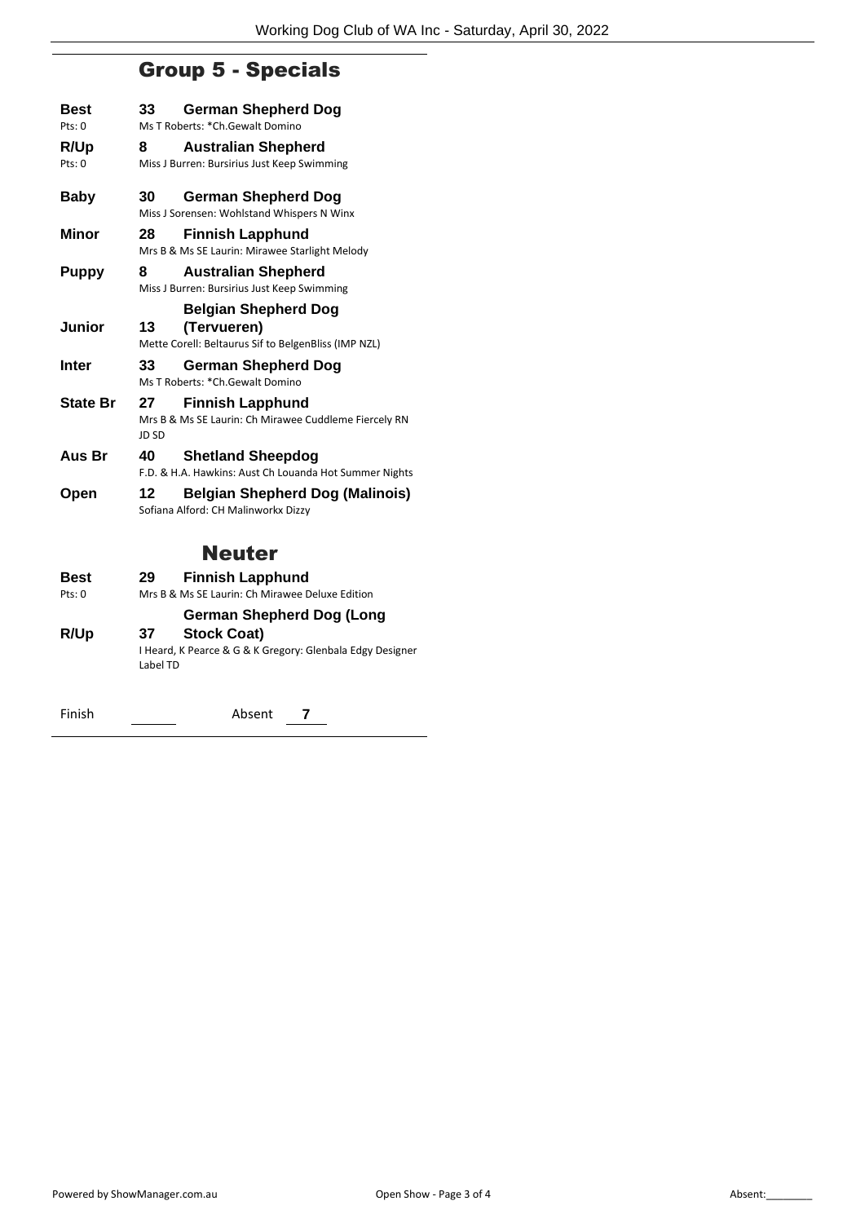# Group 5 - Specials

| Best<br>Pts: 0          | 33          | <b>German Shepherd Dog</b><br>Ms T Roberts: *Ch.Gewalt Domino                      |
|-------------------------|-------------|------------------------------------------------------------------------------------|
|                         |             |                                                                                    |
| <b>R/Up</b><br>Pts: $0$ | 8           | <b>Australian Shepherd</b><br>Miss J Burren: Bursirius Just Keep Swimming          |
| <b>Baby</b>             | 30          | German Shepherd Dog<br>Miss J Sorensen: Wohlstand Whispers N Winx                  |
| <b>Minor</b>            | 28          | <b>Finnish Lapphund</b><br>Mrs B & Ms SE Laurin: Mirawee Starlight Melody          |
| Puppy                   | 8           | <b>Australian Shepherd</b><br>Miss J Burren: Bursirius Just Keep Swimming          |
|                         |             | <b>Belgian Shepherd Dog</b>                                                        |
| Junior                  | 13          | (Tervueren)<br>Mette Corell: Beltaurus Sif to BelgenBliss (IMP NZL)                |
| Inter                   | 33          | German Shepherd Dog<br>Ms T Roberts: *Ch.Gewalt Domino                             |
| <b>State Br</b>         | 27<br>JD SD | <b>Finnish Lapphund</b><br>Mrs B & Ms SE Laurin: Ch Mirawee Cuddleme Fiercely RN   |
| Aus Br                  | 40          | <b>Shetland Sheepdog</b><br>F.D. & H.A. Hawkins: Aust Ch Louanda Hot Summer Nights |
| Open                    | 12          | <b>Belgian Shepherd Dog (Malinois)</b><br>Sofiana Alford: CH Malinworkx Dizzy      |
|                         |             | <b>Neuter</b>                                                                      |
| Best                    | 29          | <b>Finnish Lapphund</b>                                                            |
| Pts: 0                  |             | Mrs B & Ms SE Laurin: Ch Mirawee Deluxe Edition                                    |
| <b>R/Up</b>             | 37          | German Shepherd Dog (Long<br><b>Stock Coat)</b>                                    |
|                         |             |                                                                                    |

I Heard, K Pearce & G & K Gregory: Glenbala Edgy Designer Label TD

Finish <u>Conservation Absent</u> **7**